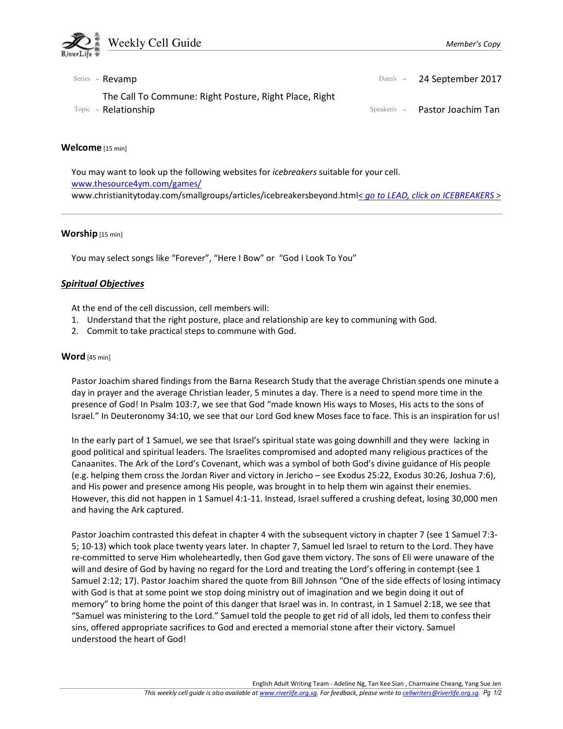

| Series - Revamp                                                                | Date/s - 24 September 2017     |
|--------------------------------------------------------------------------------|--------------------------------|
| The Call To Commune: Right Posture, Right Place, Right<br>Topic - Relationship | Speaker/s - Pastor Joachim Tan |

#### Welcome [15 min]

You may want to look up the following websites for icebreakers suitable for your cell. www.thesource4ym.com/games/ www.christianitytoday.com/smallgroups/articles/icebreakersbeyond.html< go to LEAD, click on ICEBREAKERS >

#### Worship [15 min]

You may select songs like "Forever", "Here I Bow" or "God I Look To You"

### Spiritual Objectives

At the end of the cell discussion, cell members will:

- 1. Understand that the right posture, place and relationship are key to communing with God.
- 2. Commit to take practical steps to commune with God.

#### Word [45 min]

Pastor Joachim shared findings from the Barna Research Study that the average Christian spends one minute a day in prayer and the average Christian leader, 5 minutes a day. There is a need to spend more time in the presence of God! In Psalm 103:7, we see that God "made known His ways to Moses, His acts to the sons of Israel." In Deuteronomy 34:10, we see that our Lord God knew Moses face to face. This is an inspiration for us!

In the early part of 1 Samuel, we see that Israel's spiritual state was going downhill and they were lacking in good political and spiritual leaders. The Israelites compromised and adopted many religious practices of the Canaanites. The Ark of the Lord's Covenant, which was a symbol of both God's divine guidance of His people (e.g. helping them cross the Jordan River and victory in Jericho – see Exodus 25:22, Exodus 30:26, Joshua 7:6), and His power and presence among His people, was brought in to help them win against their enemies. However, this did not happen in 1 Samuel 4:1-11. Instead, Israel suffered a crushing defeat, losing 30,000 men and having the Ark captured.

Pastor Joachim contrasted this defeat in chapter 4 with the subsequent victory in chapter 7 (see 1 Samuel 7:3- 5; 10-13) which took place twenty years later. In chapter 7, Samuel led Israel to return to the Lord. They have re-committed to serve Him wholeheartedly, then God gave them victory. The sons of Eli were unaware of the will and desire of God by having no regard for the Lord and treating the Lord's offering in contempt (see 1 Samuel 2:12; 17). Pastor Joachim shared the quote from Bill Johnson "One of the side effects of losing intimacy with God is that at some point we stop doing ministry out of imagination and we begin doing it out of memory" to bring home the point of this danger that Israel was in. In contrast, in 1 Samuel 2:18, we see that "Samuel was ministering to the Lord." Samuel told the people to get rid of all idols, led them to confess their sins, offered appropriate sacrifices to God and erected a memorial stone after their victory. Samuel understood the heart of God!